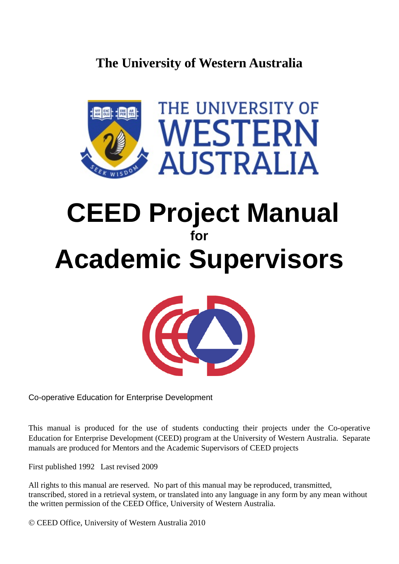# **The University of Western Australia**



# **CEED Project Manual for Academic Supervisors**



Co-operative Education for Enterprise Development

This manual is produced for the use of students conducting their projects under the Co-operative Education for Enterprise Development (CEED) program at the University of Western Australia. Separate manuals are produced for Mentors and the Academic Supervisors of CEED projects

First published 1992 Last revised 2009

All rights to this manual are reserved. No part of this manual may be reproduced, transmitted, transcribed, stored in a retrieval system, or translated into any language in any form by any mean without the written permission of the CEED Office, University of Western Australia.

CEED Office, University of Western Australia 2010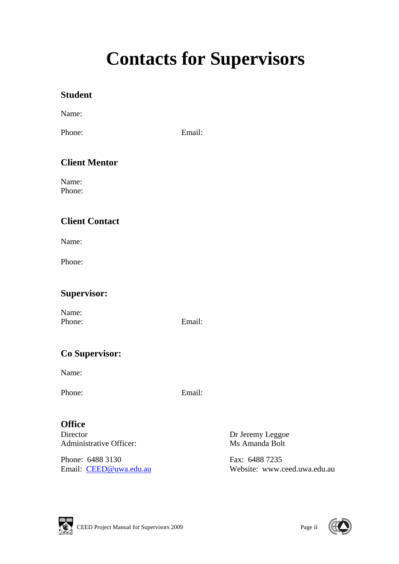# **Contacts for Supervisors**

### **Student**

Name:

Phone: Email:

### **Client Mentor**

Name: Phone:

### **Client Contact**

Name:

Phone:

### **Supervisor:**

Name: Phone: Email:

### **Co Supervisor:**

Name:

Phone: Email:

### **Office**

Director **Dr Jeremy Leggoe** Administrative Officer: Ms Amanda Bolt

Phone: 6488 3130 Fax: 6488 7235

Email: CEED@uwa.edu.au Website: www.ceed.uwa.edu.au



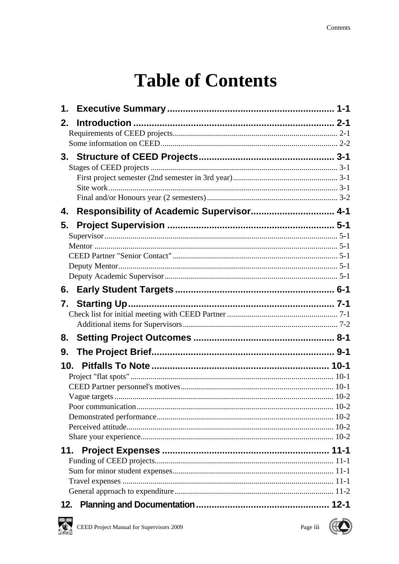# **Table of Contents**

| 1.              |                                           |  |
|-----------------|-------------------------------------------|--|
| 2.              |                                           |  |
|                 |                                           |  |
|                 |                                           |  |
|                 |                                           |  |
|                 |                                           |  |
|                 |                                           |  |
|                 |                                           |  |
|                 |                                           |  |
| 4.              | Responsibility of Academic Supervisor 4-1 |  |
| 5.              |                                           |  |
|                 |                                           |  |
|                 |                                           |  |
|                 |                                           |  |
|                 |                                           |  |
|                 |                                           |  |
| 6.              |                                           |  |
| 7.              |                                           |  |
|                 |                                           |  |
|                 |                                           |  |
| 8.              |                                           |  |
| 9.              |                                           |  |
| 10 <sub>1</sub> |                                           |  |
|                 |                                           |  |
|                 |                                           |  |
|                 |                                           |  |
|                 |                                           |  |
|                 |                                           |  |
|                 |                                           |  |
| 11.             |                                           |  |
|                 |                                           |  |
|                 |                                           |  |
|                 |                                           |  |
|                 |                                           |  |
| 12.             |                                           |  |



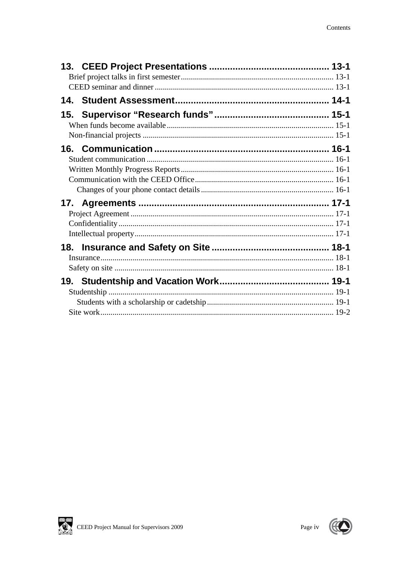| 18. |  |
|-----|--|
|     |  |
|     |  |
|     |  |
|     |  |
|     |  |
|     |  |



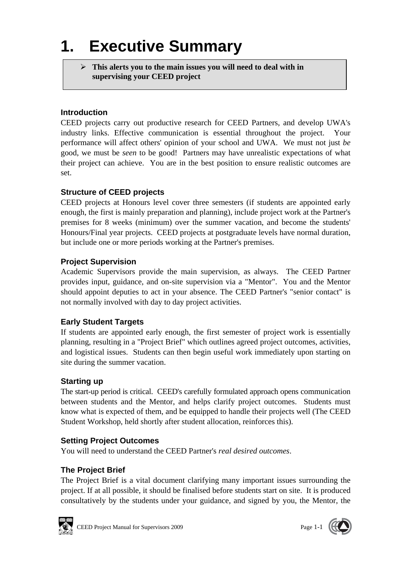# **1. Executive Summary**

 **This alerts you to the main issues you will need to deal with in supervising your CEED project** 

### **Introduction**

CEED projects carry out productive research for CEED Partners, and develop UWA's industry links. Effective communication is essential throughout the project. Your performance will affect others' opinion of your school and UWA. We must not just *be*  good, we must be *seen* to be good! Partners may have unrealistic expectations of what their project can achieve. You are in the best position to ensure realistic outcomes are set.

### **Structure of CEED projects**

CEED projects at Honours level cover three semesters (if students are appointed early enough, the first is mainly preparation and planning), include project work at the Partner's premises for 8 weeks (minimum) over the summer vacation, and become the students' Honours/Final year projects. CEED projects at postgraduate levels have normal duration, but include one or more periods working at the Partner's premises.

### **Project Supervision**

Academic Supervisors provide the main supervision, as always. The CEED Partner provides input, guidance, and on-site supervision via a "Mentor". You and the Mentor should appoint deputies to act in your absence. The CEED Partner's "senior contact" is not normally involved with day to day project activities.

### **Early Student Targets**

If students are appointed early enough, the first semester of project work is essentially planning, resulting in a "Project Brief" which outlines agreed project outcomes, activities, and logistical issues. Students can then begin useful work immediately upon starting on site during the summer vacation.

#### **Starting up**

The start-up period is critical. CEED's carefully formulated approach opens communication between students and the Mentor, and helps clarify project outcomes. Students must know what is expected of them, and be equipped to handle their projects well (The CEED Student Workshop, held shortly after student allocation, reinforces this).

### **Setting Project Outcomes**

You will need to understand the CEED Partner's *real desired outcomes*.

### **The Project Brief**

The Project Brief is a vital document clarifying many important issues surrounding the project. If at all possible, it should be finalised before students start on site. It is produced consultatively by the students under your guidance, and signed by you, the Mentor, the

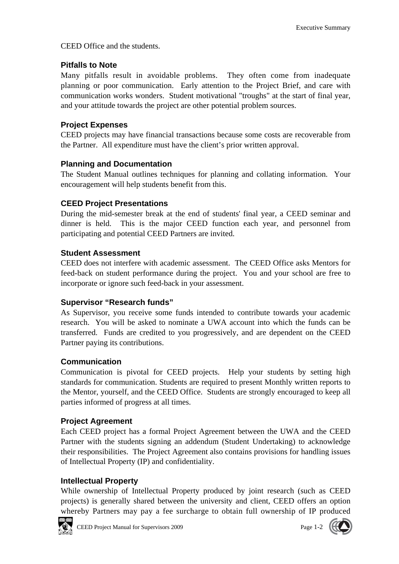CEED Office and the students.

#### **Pitfalls to Note**

Many pitfalls result in avoidable problems. They often come from inadequate planning or poor communication. Early attention to the Project Brief, and care with communication works wonders. Student motivational "troughs" at the start of final year, and your attitude towards the project are other potential problem sources.

### **Project Expenses**

CEED projects may have financial transactions because some costs are recoverable from the Partner. All expenditure must have the client's prior written approval.

#### **Planning and Documentation**

The Student Manual outlines techniques for planning and collating information. Your encouragement will help students benefit from this.

#### **CEED Project Presentations**

During the mid-semester break at the end of students' final year, a CEED seminar and dinner is held. This is the major CEED function each year, and personnel from participating and potential CEED Partners are invited.

#### **Student Assessment**

CEED does not interfere with academic assessment. The CEED Office asks Mentors for feed-back on student performance during the project. You and your school are free to incorporate or ignore such feed-back in your assessment.

#### **Supervisor "Research funds"**

As Supervisor, you receive some funds intended to contribute towards your academic research. You will be asked to nominate a UWA account into which the funds can be transferred. Funds are credited to you progressively, and are dependent on the CEED Partner paying its contributions.

#### **Communication**

Communication is pivotal for CEED projects. Help your students by setting high standards for communication. Students are required to present Monthly written reports to the Mentor, yourself, and the CEED Office. Students are strongly encouraged to keep all parties informed of progress at all times.

#### **Project Agreement**

Each CEED project has a formal Project Agreement between the UWA and the CEED Partner with the students signing an addendum (Student Undertaking) to acknowledge their responsibilities. The Project Agreement also contains provisions for handling issues of Intellectual Property (IP) and confidentiality.

#### **Intellectual Property**

While ownership of Intellectual Property produced by joint research (such as CEED projects) is generally shared between the university and client, CEED offers an option whereby Partners may pay a fee surcharge to obtain full ownership of IP produced



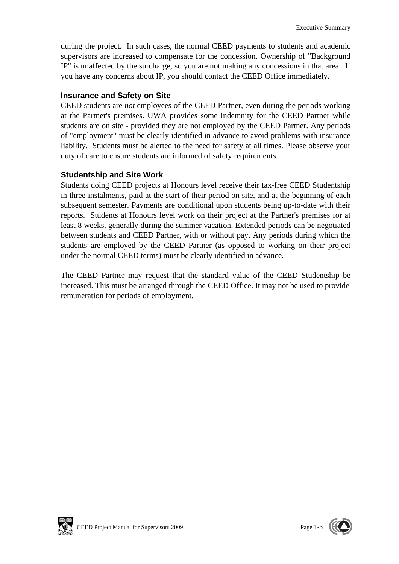during the project. In such cases, the normal CEED payments to students and academic supervisors are increased to compensate for the concession. Ownership of "Background IP" is unaffected by the surcharge, so you are not making any concessions in that area. If you have any concerns about IP, you should contact the CEED Office immediately.

#### **Insurance and Safety on Site**

CEED students are *not* employees of the CEED Partner, even during the periods working at the Partner's premises. UWA provides some indemnity for the CEED Partner while students are on site - provided they are not employed by the CEED Partner. Any periods of "employment" must be clearly identified in advance to avoid problems with insurance liability. Students must be alerted to the need for safety at all times. Please observe your duty of care to ensure students are informed of safety requirements.

#### **Studentship and Site Work**

Students doing CEED projects at Honours level receive their tax-free CEED Studentship in three instalments, paid at the start of their period on site, and at the beginning of each subsequent semester. Payments are conditional upon students being up-to-date with their reports. Students at Honours level work on their project at the Partner's premises for at least 8 weeks, generally during the summer vacation. Extended periods can be negotiated between students and CEED Partner, with or without pay. Any periods during which the students are employed by the CEED Partner (as opposed to working on their project under the normal CEED terms) must be clearly identified in advance.

The CEED Partner may request that the standard value of the CEED Studentship be increased. This must be arranged through the CEED Office. It may not be used to provide remuneration for periods of employment.



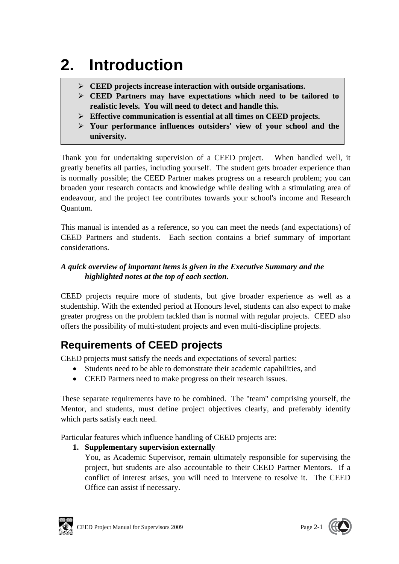# **2. Introduction**

- **CEED projects increase interaction with outside organisations.**
- **CEED Partners may have expectations which need to be tailored to realistic levels. You will need to detect and handle this.**
- **Effective communication is essential at all times on CEED projects.**
- **Your performance influences outsiders' view of your school and the university.**

Thank you for undertaking supervision of a CEED project. When handled well, it greatly benefits all parties, including yourself. The student gets broader experience than is normally possible; the CEED Partner makes progress on a research problem; you can broaden your research contacts and knowledge while dealing with a stimulating area of endeavour, and the project fee contributes towards your school's income and Research Quantum.

This manual is intended as a reference, so you can meet the needs (and expectations) of CEED Partners and students. Each section contains a brief summary of important considerations.

### *A quick overview of important items is given in the Executive Summary and the highlighted notes at the top of each section.*

CEED projects require more of students, but give broader experience as well as a studentship. With the extended period at Honours level, students can also expect to make greater progress on the problem tackled than is normal with regular projects. CEED also offers the possibility of multi-student projects and even multi-discipline projects.

## **Requirements of CEED projects**

CEED projects must satisfy the needs and expectations of several parties:

- Students need to be able to demonstrate their academic capabilities, and
- CEED Partners need to make progress on their research issues.

These separate requirements have to be combined. The "team" comprising yourself, the Mentor, and students, must define project objectives clearly, and preferably identify which parts satisfy each need.

Particular features which influence handling of CEED projects are:

**1. Supplementary supervision externally** 

You, as Academic Supervisor, remain ultimately responsible for supervising the project, but students are also accountable to their CEED Partner Mentors. If a conflict of interest arises, you will need to intervene to resolve it. The CEED Office can assist if necessary.



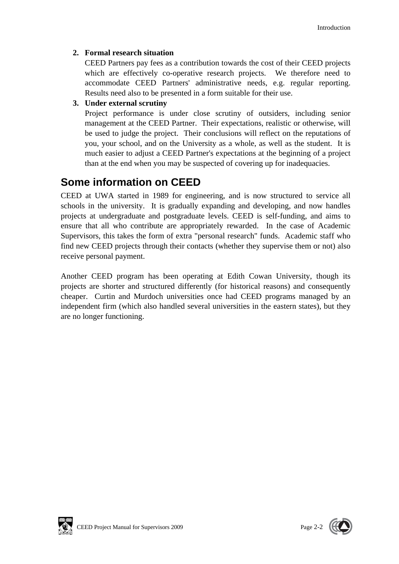### **2. Formal research situation**

CEED Partners pay fees as a contribution towards the cost of their CEED projects which are effectively co-operative research projects. We therefore need to accommodate CEED Partners' administrative needs, e.g. regular reporting. Results need also to be presented in a form suitable for their use.

### **3. Under external scrutiny**

Project performance is under close scrutiny of outsiders, including senior management at the CEED Partner. Their expectations, realistic or otherwise, will be used to judge the project. Their conclusions will reflect on the reputations of you, your school, and on the University as a whole, as well as the student. It is much easier to adjust a CEED Partner's expectations at the beginning of a project than at the end when you may be suspected of covering up for inadequacies.

## **Some information on CEED**

CEED at UWA started in 1989 for engineering, and is now structured to service all schools in the university. It is gradually expanding and developing, and now handles projects at undergraduate and postgraduate levels. CEED is self-funding, and aims to ensure that all who contribute are appropriately rewarded. In the case of Academic Supervisors, this takes the form of extra "personal research" funds. Academic staff who find new CEED projects through their contacts (whether they supervise them or not) also receive personal payment.

Another CEED program has been operating at Edith Cowan University, though its projects are shorter and structured differently (for historical reasons) and consequently cheaper. Curtin and Murdoch universities once had CEED programs managed by an independent firm (which also handled several universities in the eastern states), but they are no longer functioning.



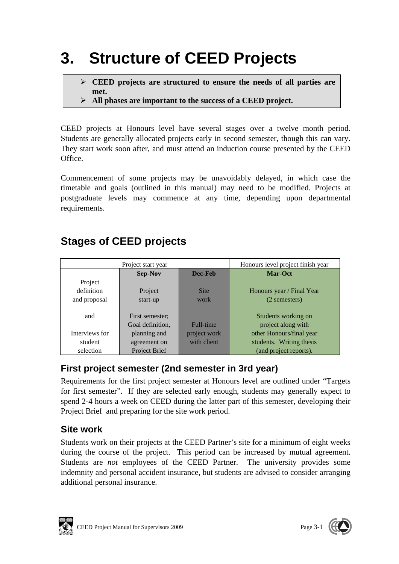# **3. Structure of CEED Projects**

- **CEED projects are structured to ensure the needs of all parties are met.**
- **All phases are important to the success of a CEED project.**

CEED projects at Honours level have several stages over a twelve month period. Students are generally allocated projects early in second semester, though this can vary. They start work soon after, and must attend an induction course presented by the CEED Office.

Commencement of some projects may be unavoidably delayed, in which case the timetable and goals (outlined in this manual) may need to be modified. Projects at postgraduate levels may commence at any time, depending upon departmental requirements.

| Project start year       |                           |              | Honours level project finish year |  |
|--------------------------|---------------------------|--------------|-----------------------------------|--|
|                          | <b>Sep-Nov</b><br>Dec-Feb |              | Mar-Oct                           |  |
| Project                  |                           |              |                                   |  |
| definition               | Project                   | <b>Site</b>  | Honours year / Final Year         |  |
| and proposal<br>start-up |                           | work         | (2 semesters)                     |  |
|                          |                           |              |                                   |  |
| and                      | First semester;           |              | Students working on               |  |
|                          | Goal definition,          | Full-time    | project along with                |  |
| Interviews for           | planning and              | project work | other Honours/final year          |  |
| student                  | agreement on              | with client  | students. Writing thesis          |  |
| selection                | Project Brief             |              | (and project reports).            |  |

## **Stages of CEED projects**

## **First project semester (2nd semester in 3rd year)**

Requirements for the first project semester at Honours level are outlined under "Targets for first semester". If they are selected early enough, students may generally expect to spend 2-4 hours a week on CEED during the latter part of this semester, developing their Project Brief and preparing for the site work period.

### **Site work**

Students work on their projects at the CEED Partner's site for a minimum of eight weeks during the course of the project. This period can be increased by mutual agreement. Students are *not* employees of the CEED Partner. The university provides some indemnity and personal accident insurance, but students are advised to consider arranging additional personal insurance.



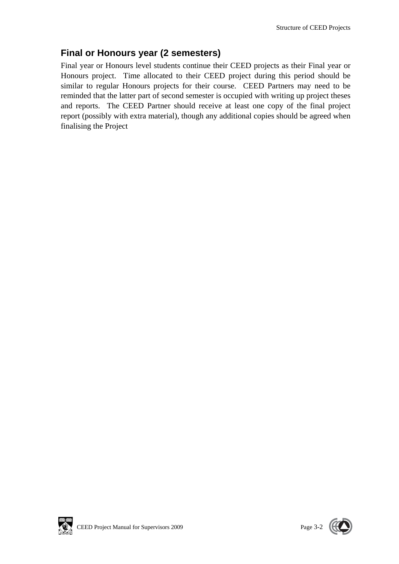## **Final or Honours year (2 semesters)**

Final year or Honours level students continue their CEED projects as their Final year or Honours project. Time allocated to their CEED project during this period should be similar to regular Honours projects for their course. CEED Partners may need to be reminded that the latter part of second semester is occupied with writing up project theses and reports. The CEED Partner should receive at least one copy of the final project report (possibly with extra material), though any additional copies should be agreed when finalising the Project

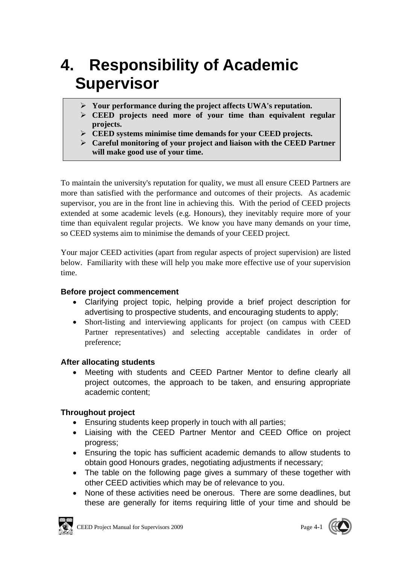# **4. Responsibility of Academic Supervisor**

- **Your performance during the project affects UWA's reputation.**
- **CEED projects need more of your time than equivalent regular projects.**
- **CEED systems minimise time demands for your CEED projects.**
- **Careful monitoring of your project and liaison with the CEED Partner will make good use of your time.**

To maintain the university's reputation for quality, we must all ensure CEED Partners are more than satisfied with the performance and outcomes of their projects. As academic supervisor, you are in the front line in achieving this. With the period of CEED projects extended at some academic levels (e.g. Honours), they inevitably require more of your time than equivalent regular projects. We know you have many demands on your time, so CEED systems aim to minimise the demands of your CEED project.

Your major CEED activities (apart from regular aspects of project supervision) are listed below. Familiarity with these will help you make more effective use of your supervision time.

### **Before project commencement**

- Clarifying project topic, helping provide a brief project description for advertising to prospective students, and encouraging students to apply;
- Short-listing and interviewing applicants for project (on campus with CEED Partner representatives) and selecting acceptable candidates in order of preference;

#### **After allocating students**

 Meeting with students and CEED Partner Mentor to define clearly all project outcomes, the approach to be taken, and ensuring appropriate academic content;

### **Throughout project**

- Ensuring students keep properly in touch with all parties;
- Liaising with the CEED Partner Mentor and CEED Office on project progress;
- Ensuring the topic has sufficient academic demands to allow students to obtain good Honours grades, negotiating adjustments if necessary;
- The table on the following page gives a summary of these together with other CEED activities which may be of relevance to you.
- None of these activities need be onerous. There are some deadlines, but these are generally for items requiring little of your time and should be



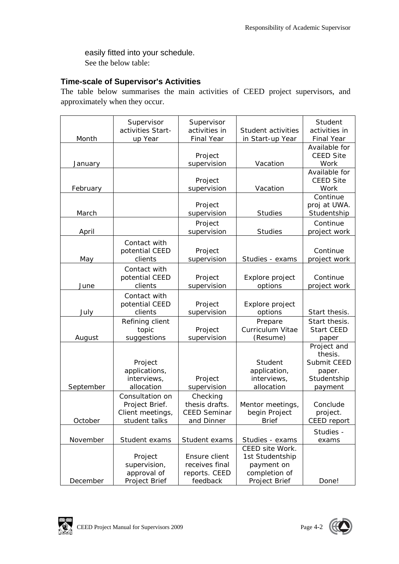easily fitted into your schedule. See the below table:

### **Time-scale of Supervisor's Activities**

The table below summarises the main activities of CEED project supervisors, and approximately when they occur.

|           | Supervisor<br>activities Start- | Supervisor<br>activities in | Student activities      | Student<br>activities in    |
|-----------|---------------------------------|-----------------------------|-------------------------|-----------------------------|
| Month     | up Year                         | <b>Final Year</b>           | in Start-up Year        | <b>Final Year</b>           |
|           |                                 |                             |                         | Available for               |
|           |                                 | Project                     |                         | <b>CEED Site</b>            |
| January   |                                 | supervision                 | Vacation                | Work                        |
|           |                                 |                             |                         | Available for               |
|           |                                 | Project                     |                         | <b>CEED Site</b>            |
| February  |                                 | supervision                 | Vacation                | Work                        |
|           |                                 |                             |                         | Continue                    |
|           |                                 | Project                     | <b>Studies</b>          | proj at UWA.<br>Studentship |
| March     |                                 | supervision                 |                         |                             |
|           |                                 | Project                     |                         | Continue                    |
| April     |                                 | supervision                 | <b>Studies</b>          | project work                |
|           | Contact with                    |                             |                         |                             |
|           | potential CEED                  | Project                     |                         | Continue                    |
| May       | clients                         | supervision                 | Studies - exams         | project work                |
|           | Contact with                    |                             |                         |                             |
|           | potential CEED                  | Project                     | Explore project         | Continue                    |
| June      | clients                         | supervision                 | options                 | project work                |
|           | Contact with                    |                             |                         |                             |
|           | potential CEED                  | Project                     | Explore project         |                             |
| July      | clients                         | supervision                 | options                 | Start thesis.               |
|           | Refining client                 |                             | Prepare                 | Start thesis.               |
|           | topic                           | Project                     | <b>Curriculum Vitae</b> | <b>Start CEED</b>           |
| August    | suggestions                     | supervision                 | (Resume)                | paper                       |
|           |                                 |                             |                         | Project and                 |
|           |                                 |                             |                         | thesis.                     |
|           | Project                         |                             | Student                 | Submit CEED                 |
|           | applications,                   |                             | application,            | paper.                      |
|           | interviews,                     | Project                     | interviews,             | Studentship                 |
| September | allocation                      | supervision                 | allocation              | payment                     |
|           | Consultation on                 | Checking                    |                         |                             |
|           | Project Brief.                  | thesis drafts.              | Mentor meetings,        | Conclude                    |
|           | Client meetings,                | <b>CEED Seminar</b>         | begin Project           | project.                    |
| October   | student talks                   | and Dinner                  | <b>Brief</b>            | CEED report                 |
|           |                                 |                             |                         | Studies -                   |
| November  | Student exams                   | Student exams               | Studies - exams         | exams                       |
|           |                                 |                             | CEED site Work.         |                             |
|           | Project                         | Ensure client               | 1st Studentship         |                             |
|           | supervision,                    | receives final              | payment on              |                             |
|           | approval of                     | reports. CEED               | completion of           |                             |
| December  | Project Brief                   | feedback                    | Project Brief           | Done!                       |

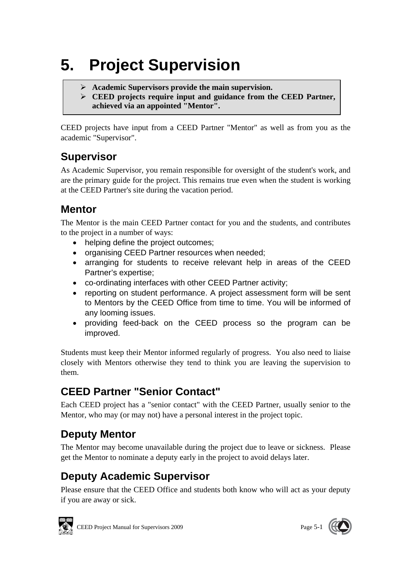# **5. Project Supervision**

- **Academic Supervisors provide the main supervision.**
- **CEED projects require input and guidance from the CEED Partner, achieved via an appointed "Mentor".**

CEED projects have input from a CEED Partner "Mentor" as well as from you as the academic "Supervisor".

## **Supervisor**

As Academic Supervisor, you remain responsible for oversight of the student's work, and are the primary guide for the project. This remains true even when the student is working at the CEED Partner's site during the vacation period.

## **Mentor**

The Mentor is the main CEED Partner contact for you and the students, and contributes to the project in a number of ways:

- helping define the project outcomes;
- organising CEED Partner resources when needed;
- arranging for students to receive relevant help in areas of the CEED Partner's expertise;
- co-ordinating interfaces with other CEED Partner activity;
- reporting on student performance. A project assessment form will be sent to Mentors by the CEED Office from time to time. You will be informed of any looming issues.
- providing feed-back on the CEED process so the program can be improved.

Students must keep their Mentor informed regularly of progress. You also need to liaise closely with Mentors otherwise they tend to think you are leaving the supervision to them.

## **CEED Partner "Senior Contact"**

Each CEED project has a "senior contact" with the CEED Partner, usually senior to the Mentor, who may (or may not) have a personal interest in the project topic.

## **Deputy Mentor**

The Mentor may become unavailable during the project due to leave or sickness. Please get the Mentor to nominate a deputy early in the project to avoid delays later.

# **Deputy Academic Supervisor**

Please ensure that the CEED Office and students both know who will act as your deputy if you are away or sick.



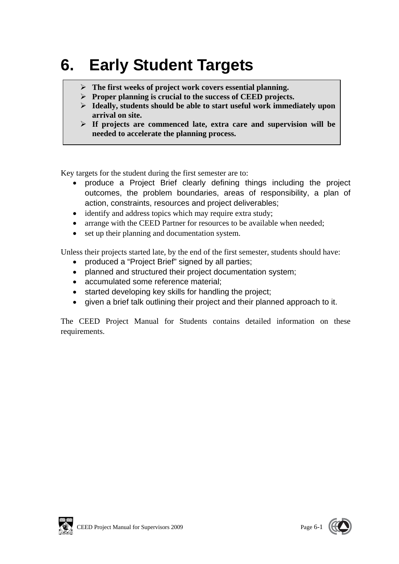# **6. Early Student Targets**

- **The first weeks of project work covers essential planning.**
- **Proper planning is crucial to the success of CEED projects.**
- **Ideally, students should be able to start useful work immediately upon arrival on site.**
- **If projects are commenced late, extra care and supervision will be needed to accelerate the planning process.**

Key targets for the student during the first semester are to:

- produce a Project Brief clearly defining things including the project outcomes, the problem boundaries, areas of responsibility, a plan of action, constraints, resources and project deliverables;
- identify and address topics which may require extra study;
- arrange with the CEED Partner for resources to be available when needed;
- set up their planning and documentation system.

Unless their projects started late, by the end of the first semester, students should have:

- produced a "Project Brief" signed by all parties;
- planned and structured their project documentation system;
- accumulated some reference material;
- started developing key skills for handling the project;
- given a brief talk outlining their project and their planned approach to it.

The CEED Project Manual for Students contains detailed information on these requirements.



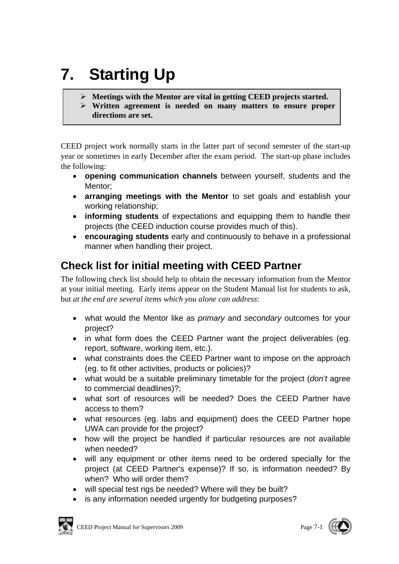# **7. Starting Up**

- **Meetings with the Mentor are vital in getting CEED projects started.**
- **Written agreement is needed on many matters to ensure proper directions are set.**

CEED project work normally starts in the latter part of second semester of the start-up year or sometimes in early December after the exam period. The start-up phase includes the following:

- **opening communication channels** between yourself, students and the Mentor;
- **arranging meetings with the Mentor** to set goals and establish your working relationship;
- **informing students** of expectations and equipping them to handle their projects (the CEED induction course provides much of this).
- **encouraging students** early and continuously to behave in a professional manner when handling their project.

## **Check list for initial meeting with CEED Partner**

The following check list should help to obtain the necessary information from the Mentor at your initial meeting. Early items appear on the Student Manual list for students to ask, but *at the end are several items which you alone can address*:

- what would the Mentor like as *primary* and *secondary* outcomes for your project?
- in what form does the CEED Partner want the project deliverables (eg. report, software, working item, etc.).
- what constraints does the CEED Partner want to impose on the approach (eg. to fit other activities, products or policies)?
- what would be a suitable preliminary timetable for the project (*don't* agree to commercial deadlines)?;
- what sort of resources will be needed? Does the CEED Partner have access to them?
- what resources (eg. labs and equipment) does the CEED Partner hope UWA can provide for the project?
- how will the project be handled if particular resources are not available when needed?
- will any equipment or other items need to be ordered specially for the project (at CEED Partner's expense)? If so, is information needed? By when? Who will order them?
- will special test rigs be needed? Where will they be built?
- is any information needed urgently for budgeting purposes?

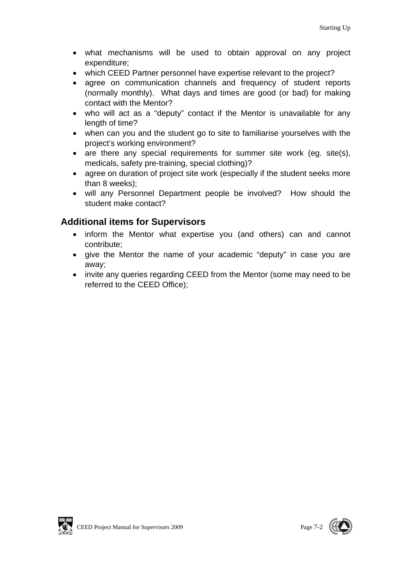- what mechanisms will be used to obtain approval on any project expenditure;
- which CEED Partner personnel have expertise relevant to the project?
- agree on communication channels and frequency of student reports (normally monthly). What days and times are good (or bad) for making contact with the Mentor?
- who will act as a "deputy" contact if the Mentor is unavailable for any length of time?
- when can you and the student go to site to familiarise yourselves with the project's working environment?
- are there any special requirements for summer site work (eg. site(s), medicals, safety pre-training, special clothing)?
- agree on duration of project site work (especially if the student seeks more than 8 weeks);
- will any Personnel Department people be involved? How should the student make contact?

### **Additional items for Supervisors**

- inform the Mentor what expertise you (and others) can and cannot contribute;
- give the Mentor the name of your academic "deputy" in case you are away;
- invite any queries regarding CEED from the Mentor (some may need to be referred to the CEED Office);



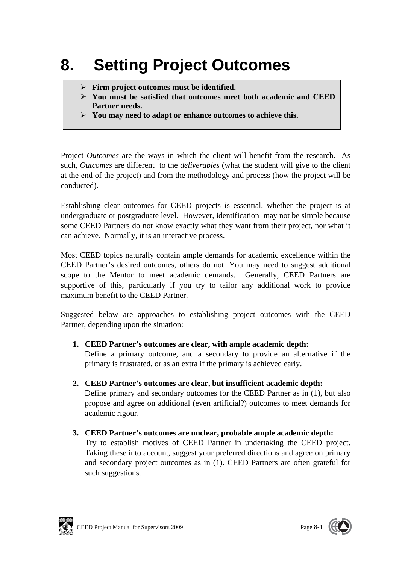# **8. Setting Project Outcomes**

- **Firm project outcomes must be identified.**
- **You must be satisfied that outcomes meet both academic and CEED Partner needs.**
- **You may need to adapt or enhance outcomes to achieve this.**

Project *Outcomes* are the ways in which the client will benefit from the research. As such, *Outcomes* are different to the *deliverables* (what the student will give to the client at the end of the project) and from the methodology and process (how the project will be conducted).

Establishing clear outcomes for CEED projects is essential, whether the project is at undergraduate or postgraduate level. However, identification may not be simple because some CEED Partners do not know exactly what they want from their project, nor what it can achieve. Normally, it is an interactive process.

Most CEED topics naturally contain ample demands for academic excellence within the CEED Partner's desired outcomes, others do not. You may need to suggest additional scope to the Mentor to meet academic demands. Generally, CEED Partners are supportive of this, particularly if you try to tailor any additional work to provide maximum benefit to the CEED Partner.

Suggested below are approaches to establishing project outcomes with the CEED Partner, depending upon the situation:

**1. CEED Partner's outcomes are clear, with ample academic depth:** 

Define a primary outcome, and a secondary to provide an alternative if the primary is frustrated, or as an extra if the primary is achieved early.

- **2. CEED Partner's outcomes are clear, but insufficient academic depth:**  Define primary and secondary outcomes for the CEED Partner as in (1), but also propose and agree on additional (even artificial?) outcomes to meet demands for academic rigour.
- **3. CEED Partner's outcomes are unclear, probable ample academic depth:**  Try to establish motives of CEED Partner in undertaking the CEED project. Taking these into account, suggest your preferred directions and agree on primary and secondary project outcomes as in (1). CEED Partners are often grateful for such suggestions.



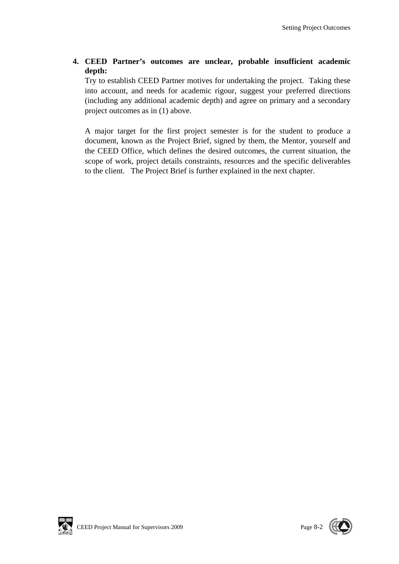#### **4. CEED Partner's outcomes are unclear, probable insufficient academic depth:**

Try to establish CEED Partner motives for undertaking the project. Taking these into account, and needs for academic rigour, suggest your preferred directions (including any additional academic depth) and agree on primary and a secondary project outcomes as in (1) above.

A major target for the first project semester is for the student to produce a document, known as the Project Brief, signed by them, the Mentor, yourself and the CEED Office, which defines the desired outcomes, the current situation, the scope of work, project details constraints, resources and the specific deliverables to the client. The Project Brief is further explained in the next chapter.

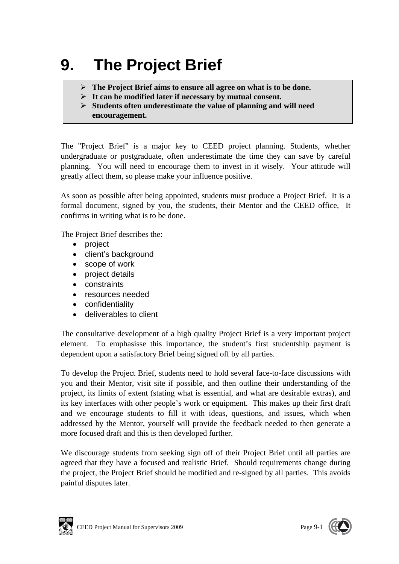# **9. The Project Brief**

- **The Project Brief aims to ensure all agree on what is to be done.**
- **It can be modified later if necessary by mutual consent.**
- **Students often underestimate the value of planning and will need encouragement.**

The "Project Brief" is a major key to CEED project planning. Students, whether undergraduate or postgraduate, often underestimate the time they can save by careful planning. You will need to encourage them to invest in it wisely. Your attitude will greatly affect them, so please make your influence positive.

As soon as possible after being appointed, students must produce a Project Brief. It is a formal document, signed by you, the students, their Mentor and the CEED office, It confirms in writing what is to be done.

The Project Brief describes the:

- project
- client's background
- scope of work
- project details
- constraints
- resources needed
- confidentiality
- deliverables to client

The consultative development of a high quality Project Brief is a very important project element. To emphasisse this importance, the student's first studentship payment is dependent upon a satisfactory Brief being signed off by all parties.

To develop the Project Brief, students need to hold several face-to-face discussions with you and their Mentor, visit site if possible, and then outline their understanding of the project, its limits of extent (stating what is essential, and what are desirable extras), and its key interfaces with other people's work or equipment. This makes up their first draft and we encourage students to fill it with ideas, questions, and issues, which when addressed by the Mentor, yourself will provide the feedback needed to then generate a more focused draft and this is then developed further.

We discourage students from seeking sign off of their Project Brief until all parties are agreed that they have a focused and realistic Brief. Should requirements change during the project, the Project Brief should be modified and re-signed by all parties. This avoids painful disputes later.



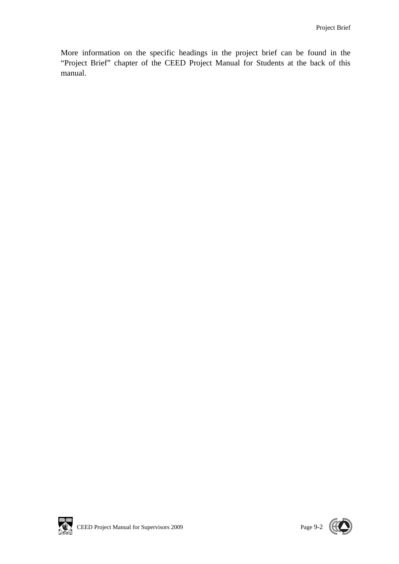More information on the specific headings in the project brief can be found in the "Project Brief" chapter of the CEED Project Manual for Students at the back of this manual.



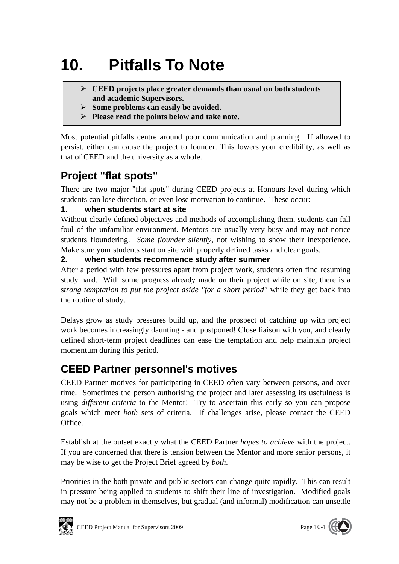# **10. Pitfalls To Note**

- **CEED projects place greater demands than usual on both students and academic Supervisors.**
- **Some problems can easily be avoided.**
- **Please read the points below and take note.**

Most potential pitfalls centre around poor communication and planning. If allowed to persist, either can cause the project to founder. This lowers your credibility, as well as that of CEED and the university as a whole.

## **Project "flat spots"**

There are two major "flat spots" during CEED projects at Honours level during which students can lose direction, or even lose motivation to continue. These occur:

### **1. when students start at site**

Without clearly defined objectives and methods of accomplishing them, students can fall foul of the unfamiliar environment. Mentors are usually very busy and may not notice students floundering. *Some flounder silently*, not wishing to show their inexperience. Make sure your students start on site with properly defined tasks and clear goals.

### **2. when students recommence study after summer**

After a period with few pressures apart from project work, students often find resuming study hard. With some progress already made on their project while on site, there is a s*trong temptation to put the project aside "for a short period"* while they get back into the routine of study.

Delays grow as study pressures build up, and the prospect of catching up with project work becomes increasingly daunting - and postponed! Close liaison with you, and clearly defined short-term project deadlines can ease the temptation and help maintain project momentum during this period.

## **CEED Partner personnel's motives**

CEED Partner motives for participating in CEED often vary between persons, and over time. Sometimes the person authorising the project and later assessing its usefulness is using *different criteria* to the Mentor! Try to ascertain this early so you can propose goals which meet *both* sets of criteria. If challenges arise, please contact the CEED Office.

Establish at the outset exactly what the CEED Partner *hopes to achieve* with the project. If you are concerned that there is tension between the Mentor and more senior persons, it may be wise to get the Project Brief agreed by *both*.

Priorities in the both private and public sectors can change quite rapidly. This can result in pressure being applied to students to shift their line of investigation. Modified goals may not be a problem in themselves, but gradual (and informal) modification can unsettle



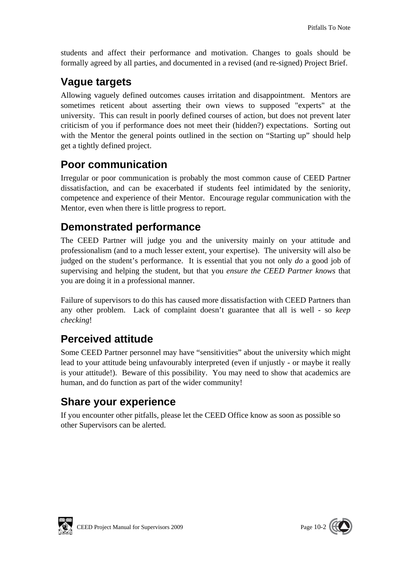students and affect their performance and motivation. Changes to goals should be formally agreed by all parties, and documented in a revised (and re-signed) Project Brief.

## **Vague targets**

Allowing vaguely defined outcomes causes irritation and disappointment. Mentors are sometimes reticent about asserting their own views to supposed "experts" at the university. This can result in poorly defined courses of action, but does not prevent later criticism of you if performance does not meet their (hidden?) expectations. Sorting out with the Mentor the general points outlined in the section on "Starting up" should help get a tightly defined project.

## **Poor communication**

Irregular or poor communication is probably the most common cause of CEED Partner dissatisfaction, and can be exacerbated if students feel intimidated by the seniority, competence and experience of their Mentor. Encourage regular communication with the Mentor, even when there is little progress to report.

## **Demonstrated performance**

The CEED Partner will judge you and the university mainly on your attitude and professionalism (and to a much lesser extent, your expertise). The university will also be judged on the student's performance. It is essential that you not only *do* a good job of supervising and helping the student, but that you *ensure the CEED Partner knows* that you are doing it in a professional manner.

Failure of supervisors to do this has caused more dissatisfaction with CEED Partners than any other problem. Lack of complaint doesn't guarantee that all is well - so *keep checking*!

## **Perceived attitude**

Some CEED Partner personnel may have "sensitivities" about the university which might lead to your attitude being unfavourably interpreted (even if unjustly - or maybe it really is your attitude!). Beware of this possibility. You may need to show that academics are human, and do function as part of the wider community!

## **Share your experience**

If you encounter other pitfalls, please let the CEED Office know as soon as possible so other Supervisors can be alerted.



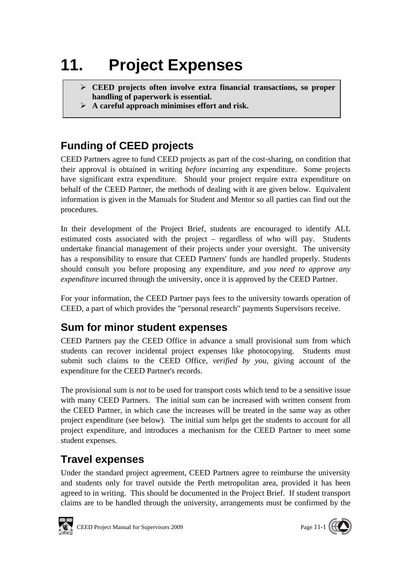# **11. Project Expenses**

- **CEED projects often involve extra financial transactions, so proper handling of paperwork is essential.**
- **A careful approach minimises effort and risk.**

# **Funding of CEED projects**

CEED Partners agree to fund CEED projects as part of the cost-sharing, on condition that their approval is obtained in writing *before* incurring any expenditure. Some projects have significant extra expenditure. Should your project require extra expenditure on behalf of the CEED Partner, the methods of dealing with it are given below. Equivalent information is given in the Manuals for Student and Mentor so all parties can find out the procedures.

In their development of the Project Brief, students are encouraged to identify ALL estimated costs associated with the project – regardless of who will pay. Students undertake financial management of their projects under your oversight. The university has a responsibility to ensure that CEED Partners' funds are handled properly. Students should consult you before proposing any expenditure, and *you need to approve any expenditure* incurred through the university, once it is approved by the CEED Partner.

For your information, the CEED Partner pays fees to the university towards operation of CEED, a part of which provides the "personal research" payments Supervisors receive.

## **Sum for minor student expenses**

CEED Partners pay the CEED Office in advance a small provisional sum from which students can recover incidental project expenses like photocopying. Students must submit such claims to the CEED Office, *verified by you*, giving account of the expenditure for the CEED Partner's records.

The provisional sum is *not* to be used for transport costs which tend to be a sensitive issue with many CEED Partners. The initial sum can be increased with written consent from the CEED Partner, in which case the increases will be treated in the same way as other project expenditure (see below). The initial sum helps get the students to account for all project expenditure, and introduces a mechanism for the CEED Partner to meet some student expenses.

## **Travel expenses**

Under the standard project agreement, CEED Partners agree to reimburse the university and students only for travel outside the Perth metropolitan area, provided it has been agreed to in writing. This should be documented in the Project Brief. If student transport claims are to be handled through the university, arrangements must be confirmed by the



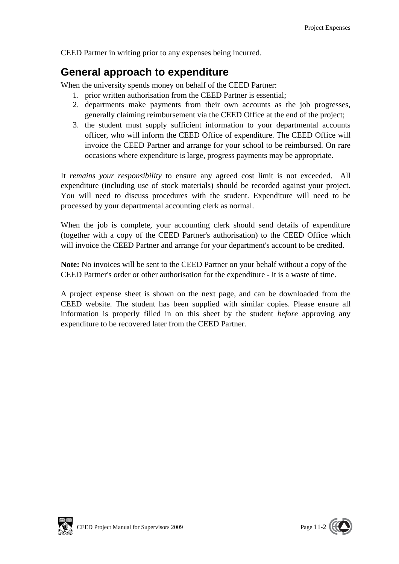CEED Partner in writing prior to any expenses being incurred.

## **General approach to expenditure**

When the university spends money on behalf of the CEED Partner:

- 1. prior written authorisation from the CEED Partner is essential;
- 2. departments make payments from their own accounts as the job progresses, generally claiming reimbursement via the CEED Office at the end of the project;
- 3. the student must supply sufficient information to your departmental accounts officer, who will inform the CEED Office of expenditure. The CEED Office will invoice the CEED Partner and arrange for your school to be reimbursed. On rare occasions where expenditure is large, progress payments may be appropriate.

It *remains your responsibility* to ensure any agreed cost limit is not exceeded. All expenditure (including use of stock materials) should be recorded against your project. You will need to discuss procedures with the student. Expenditure will need to be processed by your departmental accounting clerk as normal.

When the job is complete, your accounting clerk should send details of expenditure (together with a copy of the CEED Partner's authorisation) to the CEED Office which will invoice the CEED Partner and arrange for your department's account to be credited.

**Note:** No invoices will be sent to the CEED Partner on your behalf without a copy of the CEED Partner's order or other authorisation for the expenditure - it is a waste of time.

A project expense sheet is shown on the next page, and can be downloaded from the CEED website. The student has been supplied with similar copies. Please ensure all information is properly filled in on this sheet by the student *before* approving any expenditure to be recovered later from the CEED Partner.



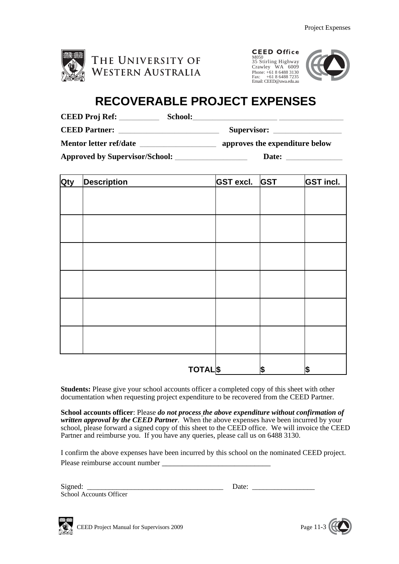

| <b>CEED Office</b>     |
|------------------------|
| M050                   |
| 35 Stirling Highway    |
| Crawley WA 6009        |
| Phone: +61 8 6488 3130 |
| Fax: $+61864887235$    |
| Email: CEED@uwa.edu.au |



# **RECOVERABLE PROJECT EXPENSES**

| <b>CEED Proj Ref:</b><br><b>School:</b> |                                |
|-----------------------------------------|--------------------------------|
| <b>CEED Partner:</b>                    | <b>Supervisor:</b>             |
| <b>Mentor letter ref/date</b>           | approves the expenditure below |
| <b>Approved by Supervisor/School:</b>   | Date:                          |

| Qty | <b>Description</b> | GST excl. GST | <b>GST incl.</b> |
|-----|--------------------|---------------|------------------|
|     |                    |               |                  |
|     |                    |               |                  |
|     |                    |               |                  |
|     |                    |               |                  |
|     |                    |               |                  |
|     |                    |               |                  |
|     |                    |               |                  |
|     |                    |               |                  |
|     |                    |               |                  |
|     |                    |               |                  |
|     |                    |               |                  |
|     |                    |               |                  |
|     |                    |               |                  |
|     | <b>TOTALS</b>      |               | \$<br>\$         |

**Students:** Please give your school accounts officer a completed copy of this sheet with other documentation when requesting project expenditure to be recovered from the CEED Partner.

**School accounts officer**: Please *do not process the above expenditure without confirmation of written approval by the CEED Partner*. When the above expenses have been incurred by your school, please forward a signed copy of this sheet to the CEED office. We will invoice the CEED Partner and reimburse you. If you have any queries, please call us on 6488 3130.

I confirm the above expenses have been incurred by this school on the nominated CEED project. Please reimburse account number \_\_\_\_\_\_\_\_\_\_\_\_\_\_\_\_\_\_\_\_\_\_\_\_\_\_\_

| Signed: |                                |
|---------|--------------------------------|
|         | <b>School Accounts Officer</b> |

| $\sim$<br>Signed: | 71 L L      |  |
|-------------------|-------------|--|
|                   | . u ve<br>. |  |



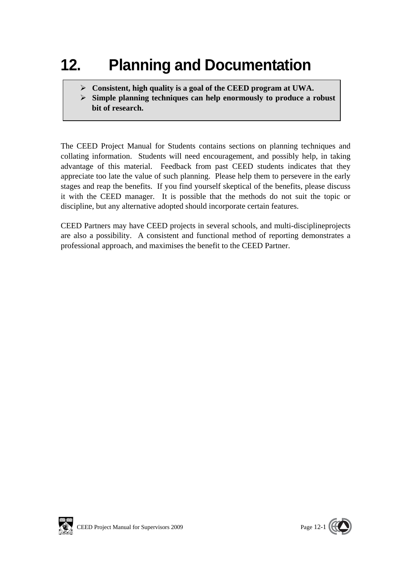# **12. Planning and Documentation**

- **Consistent, high quality is a goal of the CEED program at UWA.**
- **Simple planning techniques can help enormously to produce a robust bit of research.**

The CEED Project Manual for Students contains sections on planning techniques and collating information. Students will need encouragement, and possibly help, in taking advantage of this material. Feedback from past CEED students indicates that they appreciate too late the value of such planning. Please help them to persevere in the early stages and reap the benefits. If you find yourself skeptical of the benefits, please discuss it with the CEED manager. It is possible that the methods do not suit the topic or discipline, but any alternative adopted should incorporate certain features.

CEED Partners may have CEED projects in several schools, and multi-disciplineprojects are also a possibility. A consistent and functional method of reporting demonstrates a professional approach, and maximises the benefit to the CEED Partner.



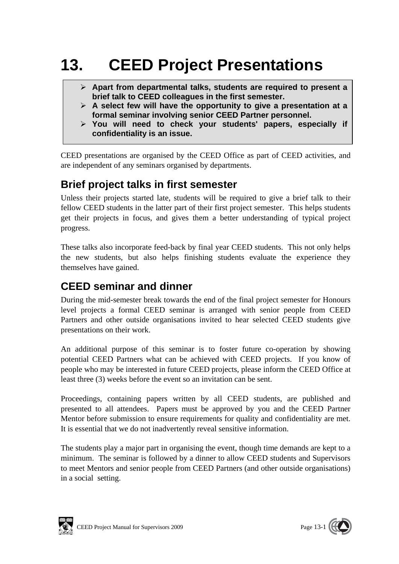# **13. CEED Project Presentations**

- **Apart from departmental talks, students are required to present a brief talk to CEED colleagues in the first semester.**
- **A select few will have the opportunity to give a presentation at a formal seminar involving senior CEED Partner personnel.**
- **You will need to check your students' papers, especially if confidentiality is an issue.**

CEED presentations are organised by the CEED Office as part of CEED activities, and are independent of any seminars organised by departments.

## **Brief project talks in first semester**

Unless their projects started late, students will be required to give a brief talk to their fellow CEED students in the latter part of their first project semester. This helps students get their projects in focus, and gives them a better understanding of typical project progress.

These talks also incorporate feed-back by final year CEED students. This not only helps the new students, but also helps finishing students evaluate the experience they themselves have gained.

## **CEED seminar and dinner**

During the mid-semester break towards the end of the final project semester for Honours level projects a formal CEED seminar is arranged with senior people from CEED Partners and other outside organisations invited to hear selected CEED students give presentations on their work.

An additional purpose of this seminar is to foster future co-operation by showing potential CEED Partners what can be achieved with CEED projects. If you know of people who may be interested in future CEED projects, please inform the CEED Office at least three (3) weeks before the event so an invitation can be sent.

Proceedings, containing papers written by all CEED students, are published and presented to all attendees. Papers must be approved by you and the CEED Partner Mentor before submission to ensure requirements for quality and confidentiality are met. It is essential that we do not inadvertently reveal sensitive information.

The students play a major part in organising the event, though time demands are kept to a minimum. The seminar is followed by a dinner to allow CEED students and Supervisors to meet Mentors and senior people from CEED Partners (and other outside organisations) in a social setting.



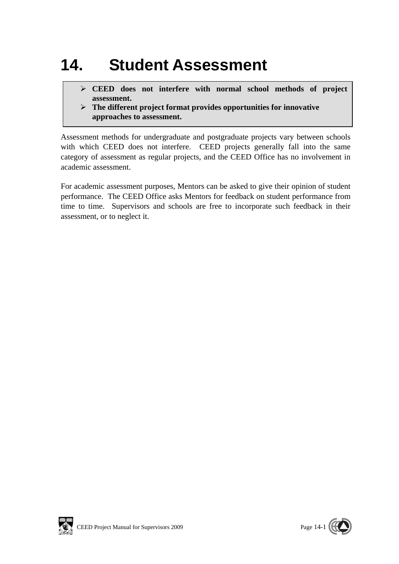# **14. Student Assessment**

- **CEED does not interfere with normal school methods of project assessment.**
- **The different project format provides opportunities for innovative approaches to assessment.**

Assessment methods for undergraduate and postgraduate projects vary between schools with which CEED does not interfere. CEED projects generally fall into the same category of assessment as regular projects, and the CEED Office has no involvement in academic assessment.

For academic assessment purposes, Mentors can be asked to give their opinion of student performance. The CEED Office asks Mentors for feedback on student performance from time to time. Supervisors and schools are free to incorporate such feedback in their assessment, or to neglect it.



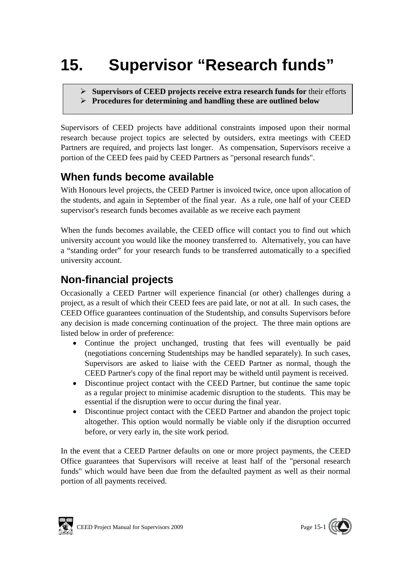# **15. Supervisor "Research funds"**

- **Supervisors of CEED projects receive extra research funds for** their efforts
- **Procedures for determining and handling these are outlined below**

Supervisors of CEED projects have additional constraints imposed upon their normal research because project topics are selected by outsiders, extra meetings with CEED Partners are required, and projects last longer. As compensation, Supervisors receive a portion of the CEED fees paid by CEED Partners as "personal research funds".

## **When funds become available**

With Honours level projects, the CEED Partner is invoiced twice, once upon allocation of the students, and again in September of the final year. As a rule, one half of your CEED supervisor's research funds becomes available as we receive each payment

When the funds becomes available, the CEED office will contact you to find out which university account you would like the mooney transferred to. Alternatively, you can have a "standing order" for your research funds to be transferred automatically to a specified university account.

## **Non-financial projects**

Occasionally a CEED Partner will experience financial (or other) challenges during a project, as a result of which their CEED fees are paid late, or not at all. In such cases, the CEED Office guarantees continuation of the Studentship, and consults Supervisors before any decision is made concerning continuation of the project. The three main options are listed below in order of preference:

- Continue the project unchanged, trusting that fees will eventually be paid (negotiations concerning Studentships may be handled separately). In such cases, Supervisors are asked to liaise with the CEED Partner as normal, though the CEED Partner's copy of the final report may be witheld until payment is received.
- Discontinue project contact with the CEED Partner, but continue the same topic as a regular project to minimise academic disruption to the students. This may be essential if the disruption were to occur during the final year.
- Discontinue project contact with the CEED Partner and abandon the project topic altogether. This option would normally be viable only if the disruption occurred before, or very early in, the site work period.

In the event that a CEED Partner defaults on one or more project payments, the CEED Office guarantees that Supervisors will receive at least half of the "personal research funds" which would have been due from the defaulted payment as well as their normal portion of all payments received.



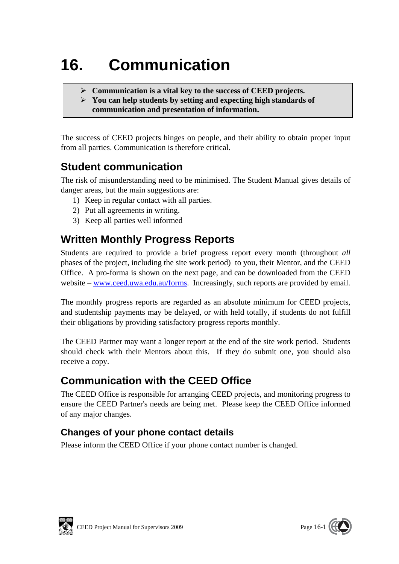# **16. Communication**

- **Communication is a vital key to the success of CEED projects.**
- **You can help students by setting and expecting high standards of communication and presentation of information.**

The success of CEED projects hinges on people, and their ability to obtain proper input from all parties. Communication is therefore critical.

## **Student communication**

The risk of misunderstanding need to be minimised. The Student Manual gives details of danger areas, but the main suggestions are:

- 1) Keep in regular contact with all parties.
- 2) Put all agreements in writing.
- 3) Keep all parties well informed

## **Written Monthly Progress Reports**

Students are required to provide a brief progress report every month (throughout *all*  phases of the project, including the site work period) to you, their Mentor, and the CEED Office. A pro-forma is shown on the next page, and can be downloaded from the CEED website – www.ceed.uwa.edu.au/forms. Increasingly, such reports are provided by email.

The monthly progress reports are regarded as an absolute minimum for CEED projects, and studentship payments may be delayed, or with held totally, if students do not fulfill their obligations by providing satisfactory progress reports monthly.

The CEED Partner may want a longer report at the end of the site work period. Students should check with their Mentors about this. If they do submit one, you should also receive a copy.

## **Communication with the CEED Office**

The CEED Office is responsible for arranging CEED projects, and monitoring progress to ensure the CEED Partner's needs are being met. Please keep the CEED Office informed of any major changes.

## **Changes of your phone contact details**

Please inform the CEED Office if your phone contact number is changed.



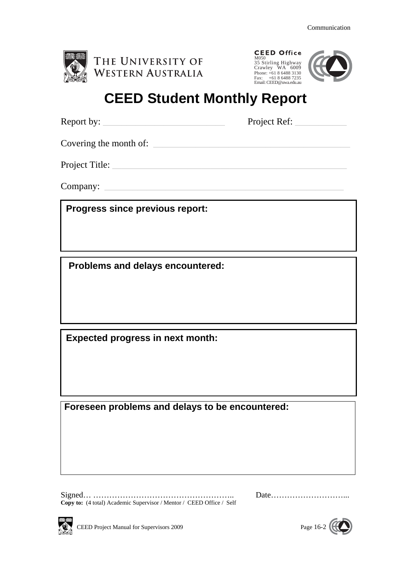

| <b>CEED Office</b>     |  |
|------------------------|--|
| M050                   |  |
| 35 Stirling Highway    |  |
| Crawley WA 6009        |  |
| Phone: +61 8 6488 3130 |  |
| Fax: $+61864887235$    |  |
| Email: CEED@uwa.edu.au |  |



# **CEED Student Monthly Report**

Report by: The Project Ref:

Covering the month of:

Project Title:

Company:

**Progress since previous report:** 

 **Problems and delays encountered:** 

**Expected progress in next month:** 

**Foreseen problems and delays to be encountered:** 

Signed… …………………………………………….. Date………………………... **Copy to:** (4 total) Academic Supervisor / Mentor / CEED Office / Self



CEED Project Manual for Supervisors 2009 Page 16-2

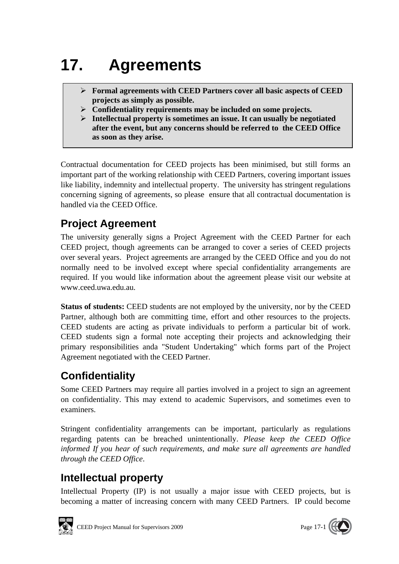# **17. Agreements**

- **Formal agreements with CEED Partners cover all basic aspects of CEED projects as simply as possible.**
- **Confidentiality requirements may be included on some projects.**
- **Intellectual property is sometimes an issue. It can usually be negotiated after the event, but any concerns should be referred to the CEED Office as soon as they arise.**

Contractual documentation for CEED projects has been minimised, but still forms an important part of the working relationship with CEED Partners, covering important issues like liability, indemnity and intellectual property. The university has stringent regulations concerning signing of agreements, so please ensure that all contractual documentation is handled via the CEED Office.

# **Project Agreement**

The university generally signs a Project Agreement with the CEED Partner for each CEED project, though agreements can be arranged to cover a series of CEED projects over several years. Project agreements are arranged by the CEED Office and you do not normally need to be involved except where special confidentiality arrangements are required. If you would like information about the agreement please visit our website at www.ceed.uwa.edu.au.

**Status of students:** CEED students are not employed by the university, nor by the CEED Partner, although both are committing time, effort and other resources to the projects. CEED students are acting as private individuals to perform a particular bit of work. CEED students sign a formal note accepting their projects and acknowledging their primary responsibilities anda "Student Undertaking" which forms part of the Project Agreement negotiated with the CEED Partner.

# **Confidentiality**

Some CEED Partners may require all parties involved in a project to sign an agreement on confidentiality. This may extend to academic Supervisors, and sometimes even to examiners.

Stringent confidentiality arrangements can be important, particularly as regulations regarding patents can be breached unintentionally. *Please keep the CEED Office informed If you hear of such requirements, and make sure all agreements are handled through the CEED Office*.

# **Intellectual property**

Intellectual Property (IP) is not usually a major issue with CEED projects, but is becoming a matter of increasing concern with many CEED Partners. IP could become



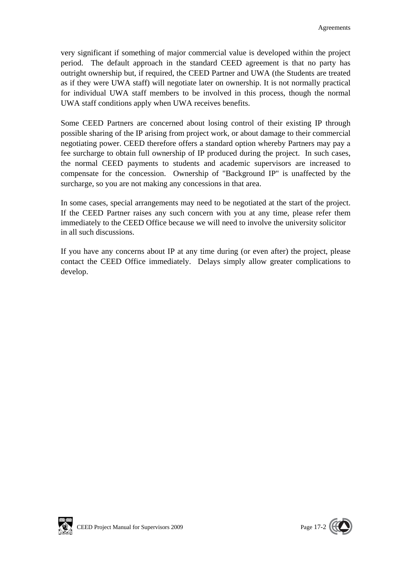very significant if something of major commercial value is developed within the project period. The default approach in the standard CEED agreement is that no party has outright ownership but, if required, the CEED Partner and UWA (the Students are treated as if they were UWA staff) will negotiate later on ownership. It is not normally practical for individual UWA staff members to be involved in this process, though the normal UWA staff conditions apply when UWA receives benefits.

Some CEED Partners are concerned about losing control of their existing IP through possible sharing of the IP arising from project work, or about damage to their commercial negotiating power. CEED therefore offers a standard option whereby Partners may pay a fee surcharge to obtain full ownership of IP produced during the project. In such cases, the normal CEED payments to students and academic supervisors are increased to compensate for the concession. Ownership of "Background IP" is unaffected by the surcharge, so you are not making any concessions in that area.

In some cases, special arrangements may need to be negotiated at the start of the project. If the CEED Partner raises any such concern with you at any time, please refer them immediately to the CEED Office because we will need to involve the university solicitor in all such discussions.

If you have any concerns about IP at any time during (or even after) the project, please contact the CEED Office immediately. Delays simply allow greater complications to develop.



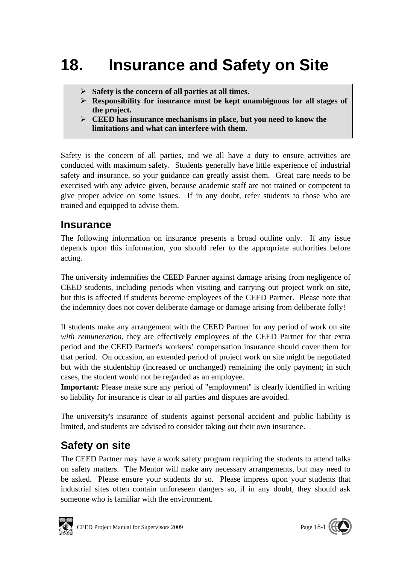# **18. Insurance and Safety on Site**

- **Safety is the concern of all parties at all times.**
- **Responsibility for insurance must be kept unambiguous for all stages of the project.**
- **CEED has insurance mechanisms in place, but you need to know the limitations and what can interfere with them.**

Safety is the concern of all parties, and we all have a duty to ensure activities are conducted with maximum safety. Students generally have little experience of industrial safety and insurance, so your guidance can greatly assist them. Great care needs to be exercised with any advice given, because academic staff are not trained or competent to give proper advice on some issues. If in any doubt, refer students to those who are trained and equipped to advise them.

## **Insurance**

The following information on insurance presents a broad outline only. If any issue depends upon this information, you should refer to the appropriate authorities before acting.

The university indemnifies the CEED Partner against damage arising from negligence of CEED students, including periods when visiting and carrying out project work on site, but this is affected if students become employees of the CEED Partner. Please note that the indemnity does not cover deliberate damage or damage arising from deliberate folly!

If students make any arrangement with the CEED Partner for any period of work on site *with remuneration*, they are effectively employees of the CEED Partner for that extra period and the CEED Partner's workers' compensation insurance should cover them for that period. On occasion, an extended period of project work on site might be negotiated but with the studentship (increased or unchanged) remaining the only payment; in such cases, the student would not be regarded as an employee.

**Important:** Please make sure any period of "employment" is clearly identified in writing so liability for insurance is clear to all parties and disputes are avoided.

The university's insurance of students against personal accident and public liability is limited, and students are advised to consider taking out their own insurance.

## **Safety on site**

The CEED Partner may have a work safety program requiring the students to attend talks on safety matters. The Mentor will make any necessary arrangements, but may need to be asked. Please ensure your students do so. Please impress upon your students that industrial sites often contain unforeseen dangers so, if in any doubt, they should ask someone who is familiar with the environment.



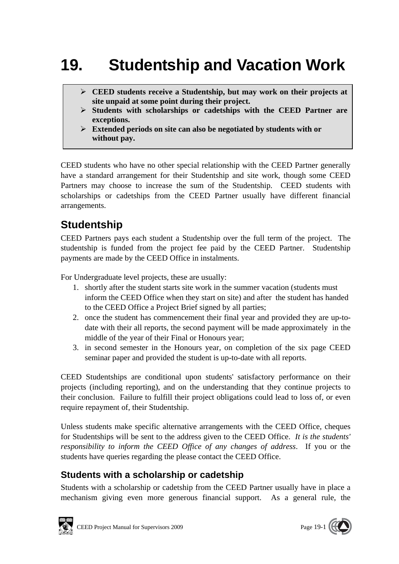# **19. Studentship and Vacation Work**

- **CEED students receive a Studentship, but may work on their projects at site unpaid at some point during their project.**
- **Students with scholarships or cadetships with the CEED Partner are exceptions.**
- **Extended periods on site can also be negotiated by students with or without pay.**

CEED students who have no other special relationship with the CEED Partner generally have a standard arrangement for their Studentship and site work, though some CEED Partners may choose to increase the sum of the Studentship. CEED students with scholarships or cadetships from the CEED Partner usually have different financial arrangements.

## **Studentship**

CEED Partners pays each student a Studentship over the full term of the project. The studentship is funded from the project fee paid by the CEED Partner. Studentship payments are made by the CEED Office in instalments.

For Undergraduate level projects, these are usually:

- 1. shortly after the student starts site work in the summer vacation (students must inform the CEED Office when they start on site) and after the student has handed to the CEED Office a Project Brief signed by all parties;
- 2. once the student has commencement their final year and provided they are up-todate with their all reports, the second payment will be made approximately in the middle of the year of their Final or Honours year;
- 3. in second semester in the Honours year, on completion of the six page CEED seminar paper and provided the student is up-to-date with all reports.

CEED Studentships are conditional upon students' satisfactory performance on their projects (including reporting), and on the understanding that they continue projects to their conclusion. Failure to fulfill their project obligations could lead to loss of, or even require repayment of, their Studentship.

Unless students make specific alternative arrangements with the CEED Office, cheques for Studentships will be sent to the address given to the CEED Office. *It is the students' responsibility to inform the CEED Office of any changes of address*. If you or the students have queries regarding the please contact the CEED Office.

## **Students with a scholarship or cadetship**

Students with a scholarship or cadetship from the CEED Partner usually have in place a mechanism giving even more generous financial support. As a general rule, the